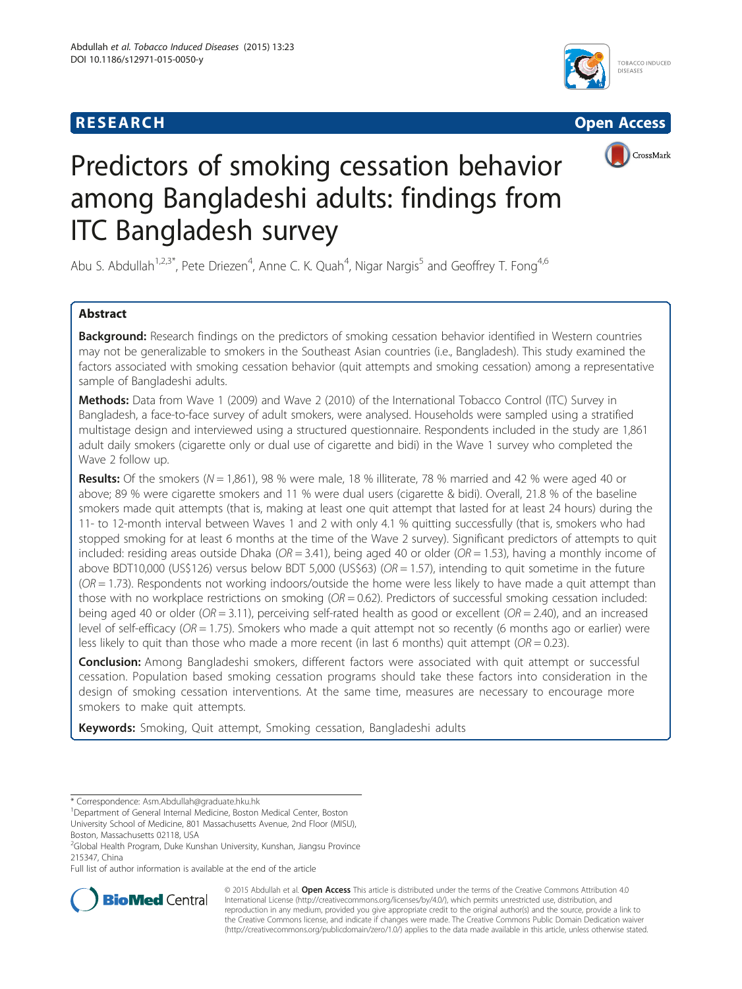





# Predictors of smoking cessation behavior among Bangladeshi adults: findings from ITC Bangladesh survey

Abu S. Abdullah<sup>1,2,3\*</sup>, Pete Driezen<sup>4</sup>, Anne C. K. Quah<sup>4</sup>, Nigar Nargis<sup>5</sup> and Geoffrey T. Fong<sup>4,6</sup>

## Abstract

Background: Research findings on the predictors of smoking cessation behavior identified in Western countries may not be generalizable to smokers in the Southeast Asian countries (i.e., Bangladesh). This study examined the factors associated with smoking cessation behavior (quit attempts and smoking cessation) among a representative sample of Bangladeshi adults.

Methods: Data from Wave 1 (2009) and Wave 2 (2010) of the International Tobacco Control (ITC) Survey in Bangladesh, a face-to-face survey of adult smokers, were analysed. Households were sampled using a stratified multistage design and interviewed using a structured questionnaire. Respondents included in the study are 1,861 adult daily smokers (cigarette only or dual use of cigarette and bidi) in the Wave 1 survey who completed the Wave 2 follow up.

**Results:** Of the smokers ( $N = 1,861$ ), 98 % were male, 18 % illiterate, 78 % married and 42 % were aged 40 or above; 89 % were cigarette smokers and 11 % were dual users (cigarette & bidi). Overall, 21.8 % of the baseline smokers made quit attempts (that is, making at least one quit attempt that lasted for at least 24 hours) during the 11- to 12-month interval between Waves 1 and 2 with only 4.1 % quitting successfully (that is, smokers who had stopped smoking for at least 6 months at the time of the Wave 2 survey). Significant predictors of attempts to quit included: residing areas outside Dhaka (OR = 3.41), being aged 40 or older (OR = 1.53), having a monthly income of above BDT10,000 (US\$126) versus below BDT 5,000 (US\$63) (OR = 1.57), intending to quit sometime in the future  $(OR = 1.73)$ . Respondents not working indoors/outside the home were less likely to have made a quit attempt than those with no workplace restrictions on smoking  $(OR = 0.62)$ . Predictors of successful smoking cessation included: being aged 40 or older (OR = 3.11), perceiving self-rated health as good or excellent (OR = 2.40), and an increased level of self-efficacy ( $OR = 1.75$ ). Smokers who made a quit attempt not so recently (6 months ago or earlier) were less likely to quit than those who made a more recent (in last 6 months) quit attempt ( $OR = 0.23$ ).

**Conclusion:** Among Bangladeshi smokers, different factors were associated with quit attempt or successful cessation. Population based smoking cessation programs should take these factors into consideration in the design of smoking cessation interventions. At the same time, measures are necessary to encourage more smokers to make quit attempts.

Keywords: Smoking, Quit attempt, Smoking cessation, Bangladeshi adults

Full list of author information is available at the end of the article



© 2015 Abdullah et al. Open Access This article is distributed under the terms of the Creative Commons Attribution 4.0 International License [\(http://creativecommons.org/licenses/by/4.0/](http://creativecommons.org/licenses/by/4.0/)), which permits unrestricted use, distribution, and reproduction in any medium, provided you give appropriate credit to the original author(s) and the source, provide a link to the Creative Commons license, and indicate if changes were made. The Creative Commons Public Domain Dedication waiver [\(http://creativecommons.org/publicdomain/zero/1.0/](http://creativecommons.org/publicdomain/zero/1.0/)) applies to the data made available in this article, unless otherwise stated.

<sup>\*</sup> Correspondence: [Asm.Abdullah@graduate.hku.hk](mailto:Asm.Abdullah@graduate.hku.hk) <sup>1</sup>

<sup>&</sup>lt;sup>1</sup>Department of General Internal Medicine, Boston Medical Center, Boston

University School of Medicine, 801 Massachusetts Avenue, 2nd Floor (MISU), Boston, Massachusetts 02118, USA

<sup>&</sup>lt;sup>2</sup>Global Health Program, Duke Kunshan University, Kunshan, Jiangsu Province 215347, China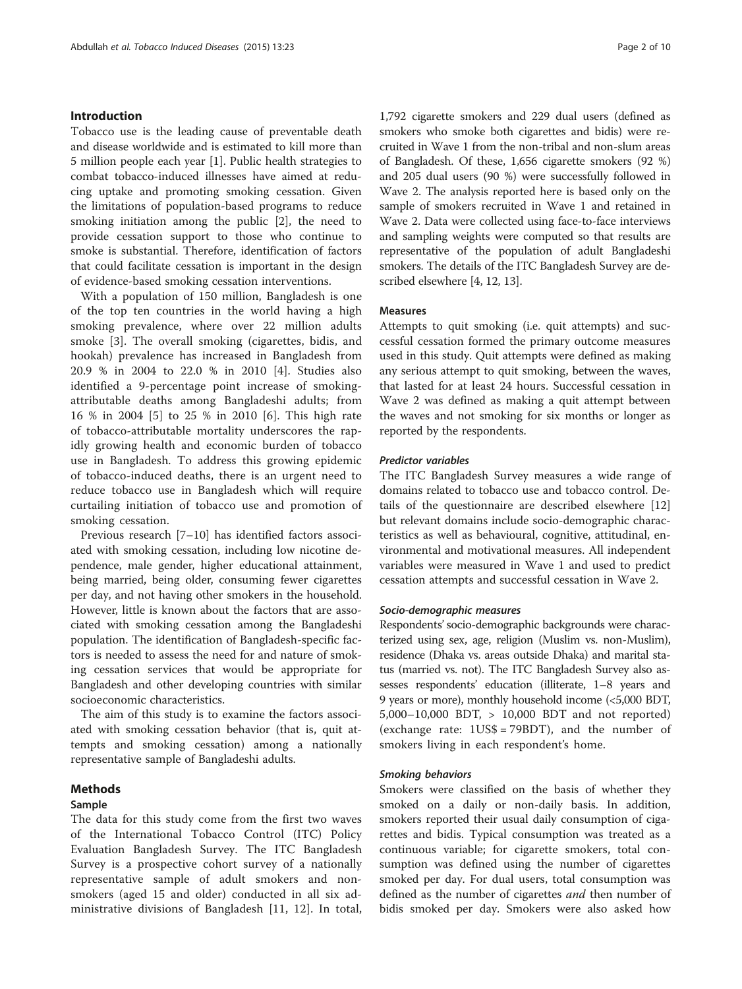#### Introduction

Tobacco use is the leading cause of preventable death and disease worldwide and is estimated to kill more than 5 million people each year [\[1](#page-8-0)]. Public health strategies to combat tobacco-induced illnesses have aimed at reducing uptake and promoting smoking cessation. Given the limitations of population-based programs to reduce smoking initiation among the public [[2\]](#page-8-0), the need to provide cessation support to those who continue to smoke is substantial. Therefore, identification of factors that could facilitate cessation is important in the design of evidence-based smoking cessation interventions.

With a population of 150 million, Bangladesh is one of the top ten countries in the world having a high smoking prevalence, where over 22 million adults smoke [\[3](#page-8-0)]. The overall smoking (cigarettes, bidis, and hookah) prevalence has increased in Bangladesh from 20.9 % in 2004 to 22.0 % in 2010 [[4\]](#page-8-0). Studies also identified a 9-percentage point increase of smokingattributable deaths among Bangladeshi adults; from 16 % in 2004 [[5\]](#page-8-0) to 25 % in 2010 [\[6](#page-8-0)]. This high rate of tobacco-attributable mortality underscores the rapidly growing health and economic burden of tobacco use in Bangladesh. To address this growing epidemic of tobacco-induced deaths, there is an urgent need to reduce tobacco use in Bangladesh which will require curtailing initiation of tobacco use and promotion of smoking cessation.

Previous research [\[7](#page-8-0)–[10](#page-8-0)] has identified factors associated with smoking cessation, including low nicotine dependence, male gender, higher educational attainment, being married, being older, consuming fewer cigarettes per day, and not having other smokers in the household. However, little is known about the factors that are associated with smoking cessation among the Bangladeshi population. The identification of Bangladesh-specific factors is needed to assess the need for and nature of smoking cessation services that would be appropriate for Bangladesh and other developing countries with similar socioeconomic characteristics.

The aim of this study is to examine the factors associated with smoking cessation behavior (that is, quit attempts and smoking cessation) among a nationally representative sample of Bangladeshi adults.

#### Methods

#### Sample

The data for this study come from the first two waves of the International Tobacco Control (ITC) Policy Evaluation Bangladesh Survey. The ITC Bangladesh Survey is a prospective cohort survey of a nationally representative sample of adult smokers and nonsmokers (aged 15 and older) conducted in all six administrative divisions of Bangladesh [\[11](#page-8-0), [12](#page-8-0)]. In total,

1,792 cigarette smokers and 229 dual users (defined as smokers who smoke both cigarettes and bidis) were recruited in Wave 1 from the non-tribal and non-slum areas of Bangladesh. Of these, 1,656 cigarette smokers (92 %) and 205 dual users (90 %) were successfully followed in Wave 2. The analysis reported here is based only on the sample of smokers recruited in Wave 1 and retained in Wave 2. Data were collected using face-to-face interviews and sampling weights were computed so that results are representative of the population of adult Bangladeshi smokers. The details of the ITC Bangladesh Survey are described elsewhere [[4](#page-8-0), [12,](#page-8-0) [13](#page-9-0)].

#### Measures

Attempts to quit smoking (i.e. quit attempts) and successful cessation formed the primary outcome measures used in this study. Quit attempts were defined as making any serious attempt to quit smoking, between the waves, that lasted for at least 24 hours. Successful cessation in Wave 2 was defined as making a quit attempt between the waves and not smoking for six months or longer as reported by the respondents.

#### Predictor variables

The ITC Bangladesh Survey measures a wide range of domains related to tobacco use and tobacco control. Details of the questionnaire are described elsewhere [[12](#page-8-0)] but relevant domains include socio-demographic characteristics as well as behavioural, cognitive, attitudinal, environmental and motivational measures. All independent variables were measured in Wave 1 and used to predict cessation attempts and successful cessation in Wave 2.

#### Socio-demographic measures

Respondents' socio-demographic backgrounds were characterized using sex, age, religion (Muslim vs. non-Muslim), residence (Dhaka vs. areas outside Dhaka) and marital status (married vs. not). The ITC Bangladesh Survey also assesses respondents' education (illiterate, 1–8 years and 9 years or more), monthly household income (<5,000 BDT, 5,000–10,000 BDT, > 10,000 BDT and not reported) (exchange rate: 1US\$ = 79BDT), and the number of smokers living in each respondent's home.

#### Smoking behaviors

Smokers were classified on the basis of whether they smoked on a daily or non-daily basis. In addition, smokers reported their usual daily consumption of cigarettes and bidis. Typical consumption was treated as a continuous variable; for cigarette smokers, total consumption was defined using the number of cigarettes smoked per day. For dual users, total consumption was defined as the number of cigarettes *and* then number of bidis smoked per day. Smokers were also asked how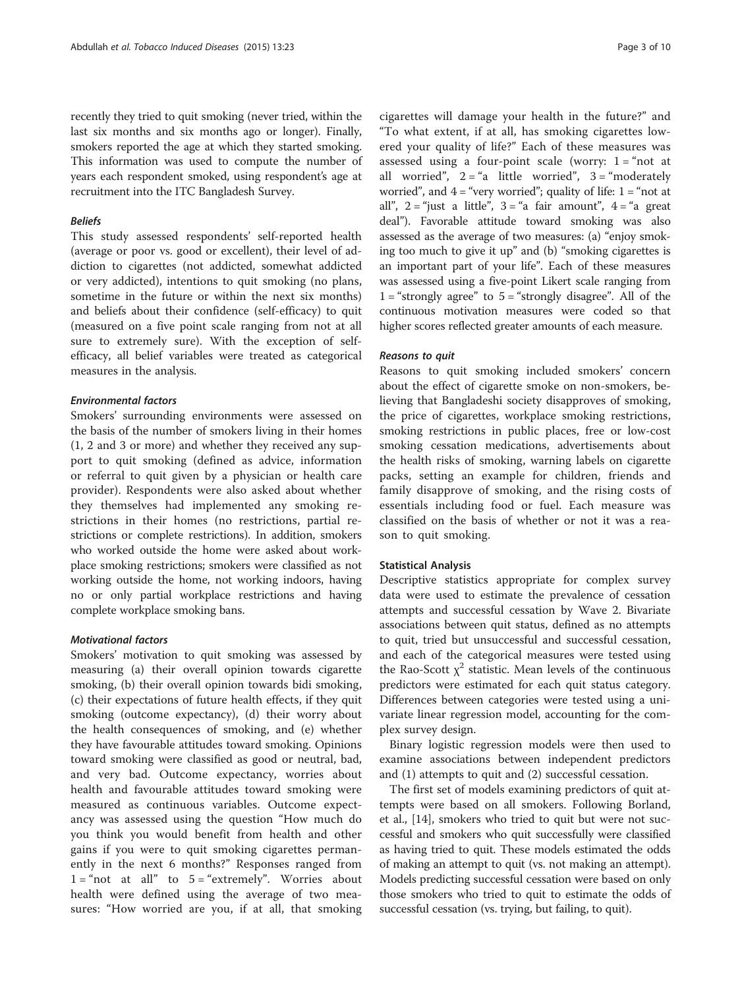recently they tried to quit smoking (never tried, within the last six months and six months ago or longer). Finally, smokers reported the age at which they started smoking. This information was used to compute the number of years each respondent smoked, using respondent's age at recruitment into the ITC Bangladesh Survey.

#### Beliefs

This study assessed respondents' self-reported health (average or poor vs. good or excellent), their level of addiction to cigarettes (not addicted, somewhat addicted or very addicted), intentions to quit smoking (no plans, sometime in the future or within the next six months) and beliefs about their confidence (self-efficacy) to quit (measured on a five point scale ranging from not at all sure to extremely sure). With the exception of selfefficacy, all belief variables were treated as categorical measures in the analysis.

#### Environmental factors

Smokers' surrounding environments were assessed on the basis of the number of smokers living in their homes (1, 2 and 3 or more) and whether they received any support to quit smoking (defined as advice, information or referral to quit given by a physician or health care provider). Respondents were also asked about whether they themselves had implemented any smoking restrictions in their homes (no restrictions, partial restrictions or complete restrictions). In addition, smokers who worked outside the home were asked about workplace smoking restrictions; smokers were classified as not working outside the home, not working indoors, having no or only partial workplace restrictions and having complete workplace smoking bans.

#### Motivational factors

Smokers' motivation to quit smoking was assessed by measuring (a) their overall opinion towards cigarette smoking, (b) their overall opinion towards bidi smoking, (c) their expectations of future health effects, if they quit smoking (outcome expectancy), (d) their worry about the health consequences of smoking, and (e) whether they have favourable attitudes toward smoking. Opinions toward smoking were classified as good or neutral, bad, and very bad. Outcome expectancy, worries about health and favourable attitudes toward smoking were measured as continuous variables. Outcome expectancy was assessed using the question "How much do you think you would benefit from health and other gains if you were to quit smoking cigarettes permanently in the next 6 months?" Responses ranged from  $1 =$ "not at all" to  $5 =$ "extremely". Worries about health were defined using the average of two measures: "How worried are you, if at all, that smoking

cigarettes will damage your health in the future?" and "To what extent, if at all, has smoking cigarettes lowered your quality of life?" Each of these measures was assessed using a four-point scale (worry:  $1 = \text{``not at}$ all worried",  $2 = a$  little worried",  $3 = a$  moderately worried", and  $4 =$  "very worried"; quality of life:  $1 =$  "not at all",  $2 =$ "just a little",  $3 =$ "a fair amount",  $4 =$ "a great deal"). Favorable attitude toward smoking was also assessed as the average of two measures: (a) "enjoy smoking too much to give it up" and (b) "smoking cigarettes is an important part of your life". Each of these measures was assessed using a five-point Likert scale ranging from  $1 =$  "strongly agree" to  $5 =$  "strongly disagree". All of the continuous motivation measures were coded so that higher scores reflected greater amounts of each measure.

#### Reasons to quit

Reasons to quit smoking included smokers' concern about the effect of cigarette smoke on non-smokers, believing that Bangladeshi society disapproves of smoking, the price of cigarettes, workplace smoking restrictions, smoking restrictions in public places, free or low-cost smoking cessation medications, advertisements about the health risks of smoking, warning labels on cigarette packs, setting an example for children, friends and family disapprove of smoking, and the rising costs of essentials including food or fuel. Each measure was classified on the basis of whether or not it was a reason to quit smoking.

#### Statistical Analysis

Descriptive statistics appropriate for complex survey data were used to estimate the prevalence of cessation attempts and successful cessation by Wave 2. Bivariate associations between quit status, defined as no attempts to quit, tried but unsuccessful and successful cessation, and each of the categorical measures were tested using the Rao-Scott  $\chi^2$  statistic. Mean levels of the continuous predictors were estimated for each quit status category. Differences between categories were tested using a univariate linear regression model, accounting for the complex survey design.

Binary logistic regression models were then used to examine associations between independent predictors and (1) attempts to quit and (2) successful cessation.

The first set of models examining predictors of quit attempts were based on all smokers. Following Borland, et al., [[14\]](#page-9-0), smokers who tried to quit but were not successful and smokers who quit successfully were classified as having tried to quit. These models estimated the odds of making an attempt to quit (vs. not making an attempt). Models predicting successful cessation were based on only those smokers who tried to quit to estimate the odds of successful cessation (vs. trying, but failing, to quit).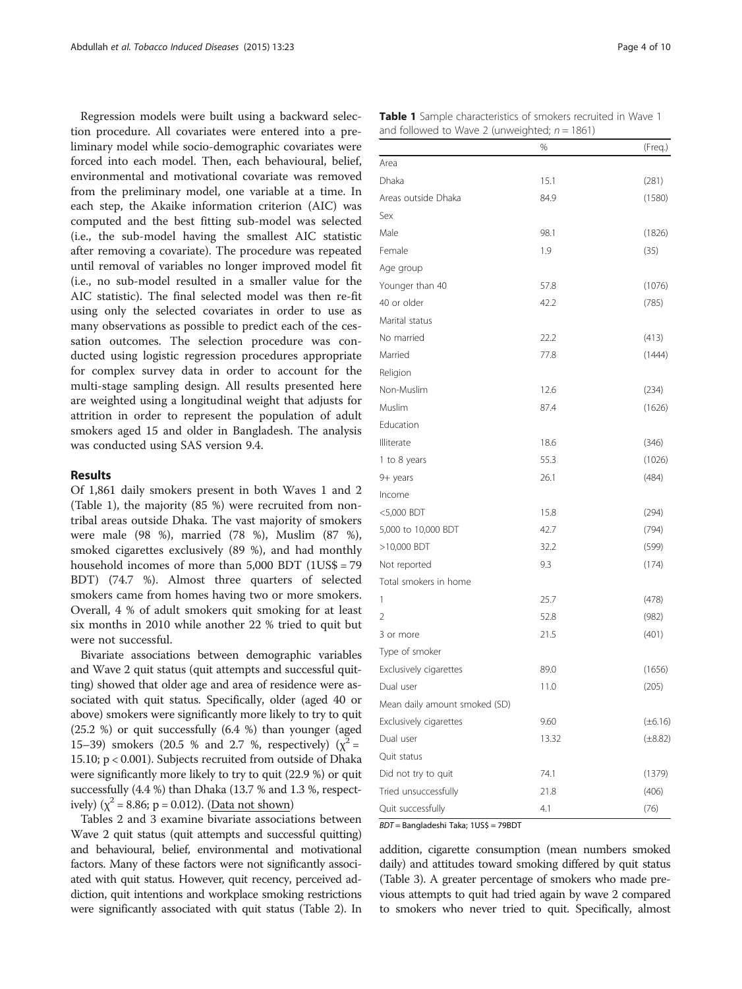Regression models were built using a backward selection procedure. All covariates were entered into a preliminary model while socio-demographic covariates were forced into each model. Then, each behavioural, belief, environmental and motivational covariate was removed from the preliminary model, one variable at a time. In each step, the Akaike information criterion (AIC) was computed and the best fitting sub-model was selected (i.e., the sub-model having the smallest AIC statistic after removing a covariate). The procedure was repeated until removal of variables no longer improved model fit (i.e., no sub-model resulted in a smaller value for the AIC statistic). The final selected model was then re-fit using only the selected covariates in order to use as many observations as possible to predict each of the cessation outcomes. The selection procedure was conducted using logistic regression procedures appropriate for complex survey data in order to account for the multi-stage sampling design. All results presented here are weighted using a longitudinal weight that adjusts for attrition in order to represent the population of adult smokers aged 15 and older in Bangladesh. The analysis was conducted using SAS version 9.4.

#### Results

Of 1,861 daily smokers present in both Waves 1 and 2 (Table 1), the majority (85 %) were recruited from nontribal areas outside Dhaka. The vast majority of smokers were male (98 %), married (78 %), Muslim (87 %), smoked cigarettes exclusively (89 %), and had monthly household incomes of more than 5,000 BDT (1US\$ = 79 BDT) (74.7 %). Almost three quarters of selected smokers came from homes having two or more smokers. Overall, 4 % of adult smokers quit smoking for at least six months in 2010 while another 22 % tried to quit but were not successful.

Bivariate associations between demographic variables and Wave 2 quit status (quit attempts and successful quitting) showed that older age and area of residence were associated with quit status. Specifically, older (aged 40 or above) smokers were significantly more likely to try to quit (25.2 %) or quit successfully (6.4 %) than younger (aged 15–39) smokers (20.5 % and 2.7 %, respectively) ( $\chi^2$  = 15.10; p < 0.001). Subjects recruited from outside of Dhaka were significantly more likely to try to quit (22.9 %) or quit successfully (4.4 %) than Dhaka (13.7 % and 1.3 %, respectively)  $(\chi^2 = 8.86; p = 0.012)$ . (Data not shown)

Tables [2](#page-4-0) and [3](#page-5-0) examine bivariate associations between Wave 2 quit status (quit attempts and successful quitting) and behavioural, belief, environmental and motivational factors. Many of these factors were not significantly associated with quit status. However, quit recency, perceived addiction, quit intentions and workplace smoking restrictions were significantly associated with quit status (Table [2](#page-4-0)). In

|                                                  |  |  | Table 1 Sample characteristics of smokers recruited in Wave 1 |  |  |
|--------------------------------------------------|--|--|---------------------------------------------------------------|--|--|
| and followed to Wave 2 (unweighted; $n = 1861$ ) |  |  |                                                               |  |  |

|                               | $\%$  | (Freq.)      |
|-------------------------------|-------|--------------|
| Area                          |       |              |
| Dhaka                         | 15.1  | (281)        |
| Areas outside Dhaka           | 84.9  | (1580)       |
| Sex                           |       |              |
| Male                          | 98.1  | (1826)       |
| Female                        | 1.9   | (35)         |
| Age group                     |       |              |
| Younger than 40               | 57.8  | (1076)       |
| 40 or older                   | 42.2  | (785)        |
| Marital status                |       |              |
| No married                    | 22.2  | (413)        |
| Married                       | 77.8  | (1444)       |
| Religion                      |       |              |
| Non-Muslim                    | 12.6  | (234)        |
| Muslim                        | 87.4  | (1626)       |
| Education                     |       |              |
| Illiterate                    | 18.6  | (346)        |
| 1 to 8 years                  | 55.3  | (1026)       |
| 9+ years                      | 26.1  | (484)        |
| Income                        |       |              |
| <5,000 BDT                    | 15.8  | (294)        |
| 5,000 to 10,000 BDT           | 42.7  | (794)        |
| >10,000 BDT                   | 32.2  | (599)        |
| Not reported                  | 9.3   | (174)        |
| Total smokers in home         |       |              |
| 1                             | 25.7  | (478)        |
| 2                             | 52.8  | (982)        |
| 3 or more                     | 21.5  | (401)        |
| Type of smoker                |       |              |
| Exclusively cigarettes        | 89.0  | (1656)       |
| Dual user                     | 11.0  | (205)        |
| Mean daily amount smoked (SD) |       |              |
| Exclusively cigarettes        | 9.60  | $(\pm 6.16)$ |
| Dual user                     | 13.32 | $(\pm 8.82)$ |
| Quit status                   |       |              |
| Did not try to quit           | 74.1  | (1379)       |
| Tried unsuccessfully          | 21.8  | (406)        |
| Quit successfully             | 4.1   | (76)         |

BDT = Bangladeshi Taka; 1US\$ = 79BDT

addition, cigarette consumption (mean numbers smoked daily) and attitudes toward smoking differed by quit status (Table [3\)](#page-5-0). A greater percentage of smokers who made previous attempts to quit had tried again by wave 2 compared to smokers who never tried to quit. Specifically, almost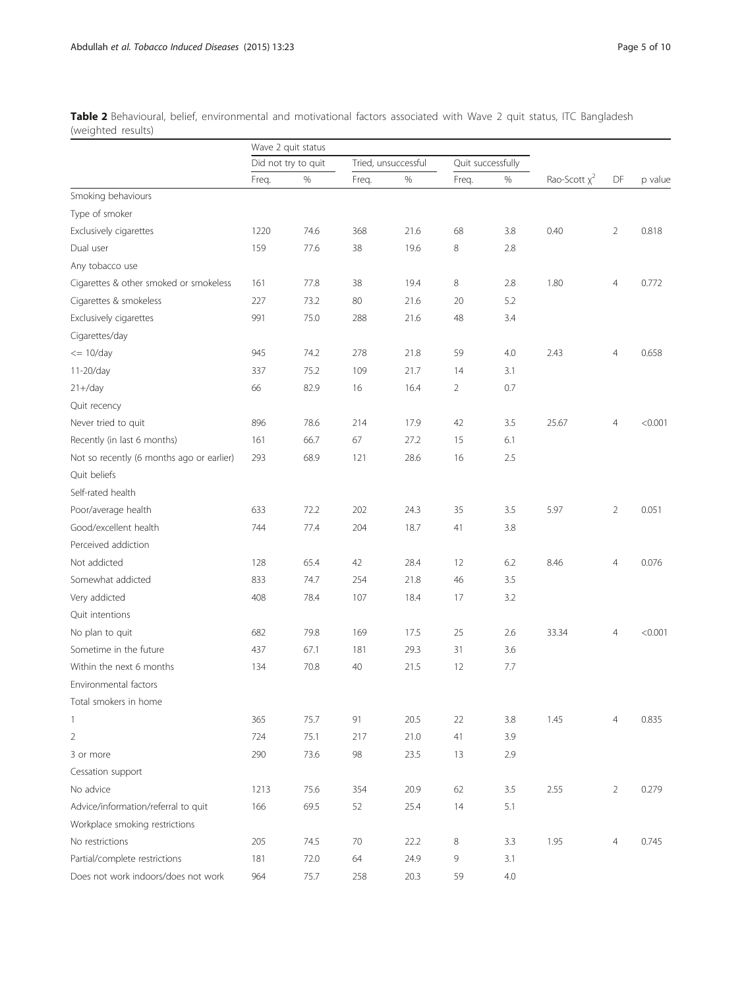<span id="page-4-0"></span>Table 2 Behavioural, belief, environmental and motivational factors associated with Wave 2 quit status, ITC Bangladesh (weighted results)

|                                           | Wave 2 quit status |                     |       |                     |                   |      |                    |                |         |
|-------------------------------------------|--------------------|---------------------|-------|---------------------|-------------------|------|--------------------|----------------|---------|
|                                           |                    | Did not try to quit |       | Tried, unsuccessful | Quit successfully |      |                    |                |         |
|                                           | Freq.              | $\%$                | Freq. | $\%$                | Freq.             | $\%$ | Rao-Scott $\chi^2$ | DF             | p value |
| Smoking behaviours                        |                    |                     |       |                     |                   |      |                    |                |         |
| Type of smoker                            |                    |                     |       |                     |                   |      |                    |                |         |
| Exclusively cigarettes                    | 1220               | 74.6                | 368   | 21.6                | 68                | 3.8  | 0.40               | $\overline{2}$ | 0.818   |
| Dual user                                 | 159                | 77.6                | 38    | 19.6                | 8                 | 2.8  |                    |                |         |
| Any tobacco use                           |                    |                     |       |                     |                   |      |                    |                |         |
| Cigarettes & other smoked or smokeless    | 161                | 77.8                | 38    | 19.4                | 8                 | 2.8  | 1.80               | 4              | 0.772   |
| Cigarettes & smokeless                    | 227                | 73.2                | 80    | 21.6                | 20                | 5.2  |                    |                |         |
| Exclusively cigarettes                    | 991                | 75.0                | 288   | 21.6                | 48                | 3.4  |                    |                |         |
| Cigarettes/day                            |                    |                     |       |                     |                   |      |                    |                |         |
| $<= 10$ /day                              | 945                | 74.2                | 278   | 21.8                | 59                | 4.0  | 2.43               | 4              | 0.658   |
| 11-20/day                                 | 337                | 75.2                | 109   | 21.7                | 14                | 3.1  |                    |                |         |
| $21 + /day$                               | 66                 | 82.9                | 16    | 16.4                | 2                 | 0.7  |                    |                |         |
| Quit recency                              |                    |                     |       |                     |                   |      |                    |                |         |
| Never tried to quit                       | 896                | 78.6                | 214   | 17.9                | 42                | 3.5  | 25.67              | 4              | < 0.001 |
| Recently (in last 6 months)               | 161                | 66.7                | 67    | 27.2                | 15                | 6.1  |                    |                |         |
| Not so recently (6 months ago or earlier) | 293                | 68.9                | 121   | 28.6                | 16                | 2.5  |                    |                |         |
| Quit beliefs                              |                    |                     |       |                     |                   |      |                    |                |         |
| Self-rated health                         |                    |                     |       |                     |                   |      |                    |                |         |
| Poor/average health                       | 633                | 72.2                | 202   | 24.3                | 35                | 3.5  | 5.97               | $\overline{2}$ | 0.051   |
| Good/excellent health                     | 744                | 77.4                | 204   | 18.7                | 41                | 3.8  |                    |                |         |
| Perceived addiction                       |                    |                     |       |                     |                   |      |                    |                |         |
| Not addicted                              | 128                | 65.4                | 42    | 28.4                | 12                | 6.2  | 8.46               | 4              | 0.076   |
| Somewhat addicted                         | 833                | 74.7                | 254   | 21.8                | 46                | 3.5  |                    |                |         |
| Very addicted                             | 408                | 78.4                | 107   | 18.4                | 17                | 3.2  |                    |                |         |
| Quit intentions                           |                    |                     |       |                     |                   |      |                    |                |         |
| No plan to quit                           | 682                | 79.8                | 169   | 17.5                | 25                | 2.6  | 33.34              | 4              | < 0.001 |
| Sometime in the future                    | 437                | 67.1                | 181   | 29.3                | 31                | 3.6  |                    |                |         |
| Within the next 6 months                  | 134                | 70.8                | 40    | 21.5                | 12                | 7.7  |                    |                |         |
| Environmental factors                     |                    |                     |       |                     |                   |      |                    |                |         |
| Total smokers in home                     |                    |                     |       |                     |                   |      |                    |                |         |
| 1                                         | 365                | 75.7                | 91    | 20.5                | 22                | 3.8  | 1.45               | $\overline{4}$ | 0.835   |
| $\overline{2}$                            | 724                | 75.1                | 217   | 21.0                | 41                | 3.9  |                    |                |         |
| 3 or more                                 | 290                | 73.6                | 98    | 23.5                | 13                | 2.9  |                    |                |         |
| Cessation support                         |                    |                     |       |                     |                   |      |                    |                |         |
| No advice                                 | 1213               | 75.6                | 354   | 20.9                | 62                | 3.5  | 2.55               | $\overline{2}$ | 0.279   |
| Advice/information/referral to quit       | 166                | 69.5                | 52    | 25.4                | 14                | 5.1  |                    |                |         |
| Workplace smoking restrictions            |                    |                     |       |                     |                   |      |                    |                |         |
| No restrictions                           | 205                | 74.5                | 70    | 22.2                | 8                 | 3.3  | 1.95               | 4              | 0.745   |
| Partial/complete restrictions             | 181                | 72.0                | 64    | 24.9                | 9                 | 3.1  |                    |                |         |
| Does not work indoors/does not work       | 964                | 75.7                | 258   | 20.3                | 59                | 4.0  |                    |                |         |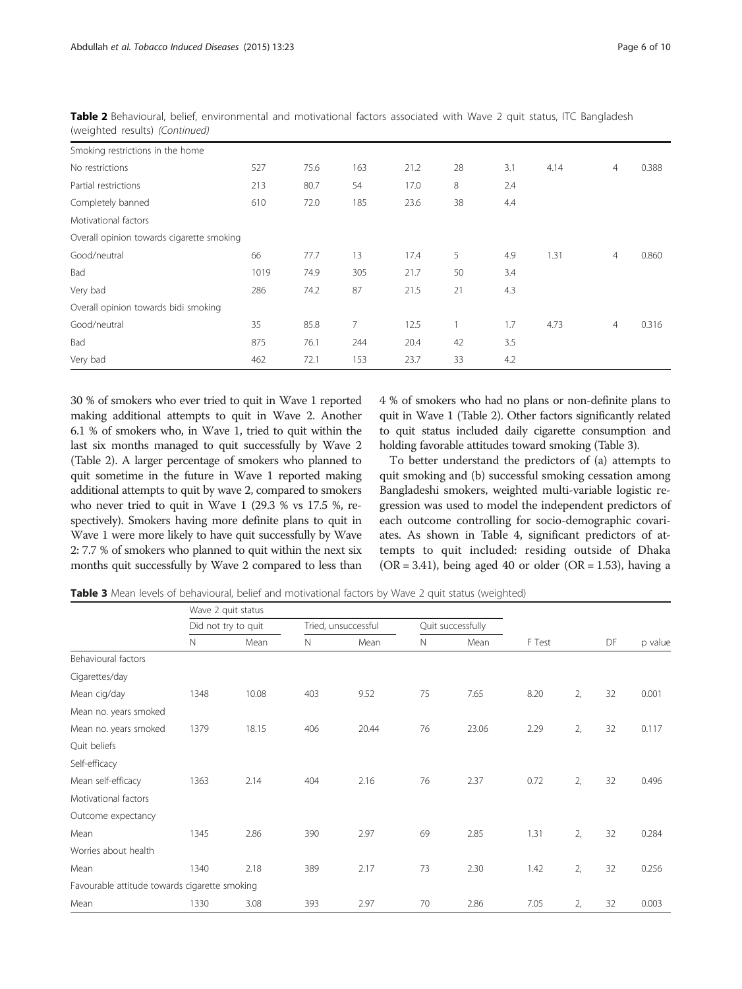| Smoking restrictions in the home          |      |      |     |      |    |     |      |                |       |
|-------------------------------------------|------|------|-----|------|----|-----|------|----------------|-------|
| No restrictions                           | 527  | 75.6 | 163 | 21.2 | 28 | 3.1 | 4.14 | $\overline{4}$ | 0.388 |
| Partial restrictions                      | 213  | 80.7 | 54  | 17.0 | 8  | 2.4 |      |                |       |
| Completely banned                         | 610  | 72.0 | 185 | 23.6 | 38 | 4.4 |      |                |       |
| Motivational factors                      |      |      |     |      |    |     |      |                |       |
| Overall opinion towards cigarette smoking |      |      |     |      |    |     |      |                |       |
| Good/neutral                              | 66   | 77.7 | 13  | 17.4 | 5  | 4.9 | 1.31 | 4              | 0.860 |
| Bad                                       | 1019 | 74.9 | 305 | 21.7 | 50 | 3.4 |      |                |       |
| Very bad                                  | 286  | 74.2 | 87  | 21.5 | 21 | 4.3 |      |                |       |
| Overall opinion towards bidi smoking      |      |      |     |      |    |     |      |                |       |
| Good/neutral                              | 35   | 85.8 | 7   | 12.5 |    | 1.7 | 4.73 | 4              | 0.316 |
| Bad                                       | 875  | 76.1 | 244 | 20.4 | 42 | 3.5 |      |                |       |
| Very bad                                  | 462  | 72.1 | 153 | 23.7 | 33 | 4.2 |      |                |       |

<span id="page-5-0"></span>Table 2 Behavioural, belief, environmental and motivational factors associated with Wave 2 quit status, ITC Bangladesh (weighted results) (Continued)

30 % of smokers who ever tried to quit in Wave 1 reported making additional attempts to quit in Wave 2. Another 6.1 % of smokers who, in Wave 1, tried to quit within the last six months managed to quit successfully by Wave 2 (Table [2](#page-4-0)). A larger percentage of smokers who planned to quit sometime in the future in Wave 1 reported making additional attempts to quit by wave 2, compared to smokers who never tried to quit in Wave 1 (29.3 % vs 17.5 %, respectively). Smokers having more definite plans to quit in Wave 1 were more likely to have quit successfully by Wave 2: 7.7 % of smokers who planned to quit within the next six months quit successfully by Wave 2 compared to less than

4 % of smokers who had no plans or non-definite plans to quit in Wave 1 (Table [2](#page-4-0)). Other factors significantly related to quit status included daily cigarette consumption and holding favorable attitudes toward smoking (Table 3).

To better understand the predictors of (a) attempts to quit smoking and (b) successful smoking cessation among Bangladeshi smokers, weighted multi-variable logistic regression was used to model the independent predictors of each outcome controlling for socio-demographic covariates. As shown in Table [4](#page-6-0), significant predictors of attempts to quit included: residing outside of Dhaka  $(OR = 3.41)$ , being aged 40 or older  $(OR = 1.53)$ , having a

Table 3 Mean levels of behavioural, belief and motivational factors by Wave 2 quit status (weighted)

|                                               | Wave 2 quit status |                     |             |                     |    |                   |        |                |    |         |
|-----------------------------------------------|--------------------|---------------------|-------------|---------------------|----|-------------------|--------|----------------|----|---------|
|                                               |                    | Did not try to quit |             | Tried, unsuccessful |    | Quit successfully |        |                |    |         |
|                                               | $\mathsf{N}$       | Mean                | $\mathbb N$ | Mean                | N  | Mean              | F Test |                | DF | p value |
| Behavioural factors                           |                    |                     |             |                     |    |                   |        |                |    |         |
| Cigarettes/day                                |                    |                     |             |                     |    |                   |        |                |    |         |
| Mean cig/day                                  | 1348               | 10.08               | 403         | 9.52                | 75 | 7.65              | 8.20   | 2,             | 32 | 0.001   |
| Mean no. years smoked                         |                    |                     |             |                     |    |                   |        |                |    |         |
| Mean no. years smoked                         | 1379               | 18.15               | 406         | 20.44               | 76 | 23.06             | 2.29   | 2 <sub>r</sub> | 32 | 0.117   |
| Quit beliefs                                  |                    |                     |             |                     |    |                   |        |                |    |         |
| Self-efficacy                                 |                    |                     |             |                     |    |                   |        |                |    |         |
| Mean self-efficacy                            | 1363               | 2.14                | 404         | 2.16                | 76 | 2.37              | 0.72   | 2,             | 32 | 0.496   |
| Motivational factors                          |                    |                     |             |                     |    |                   |        |                |    |         |
| Outcome expectancy                            |                    |                     |             |                     |    |                   |        |                |    |         |
| Mean                                          | 1345               | 2.86                | 390         | 2.97                | 69 | 2.85              | 1.31   | 2,             | 32 | 0.284   |
| Worries about health                          |                    |                     |             |                     |    |                   |        |                |    |         |
| Mean                                          | 1340               | 2.18                | 389         | 2.17                | 73 | 2.30              | 1.42   | 2,             | 32 | 0.256   |
| Favourable attitude towards cigarette smoking |                    |                     |             |                     |    |                   |        |                |    |         |
| Mean                                          | 1330               | 3.08                | 393         | 2.97                | 70 | 2.86              | 7.05   | 2,             | 32 | 0.003   |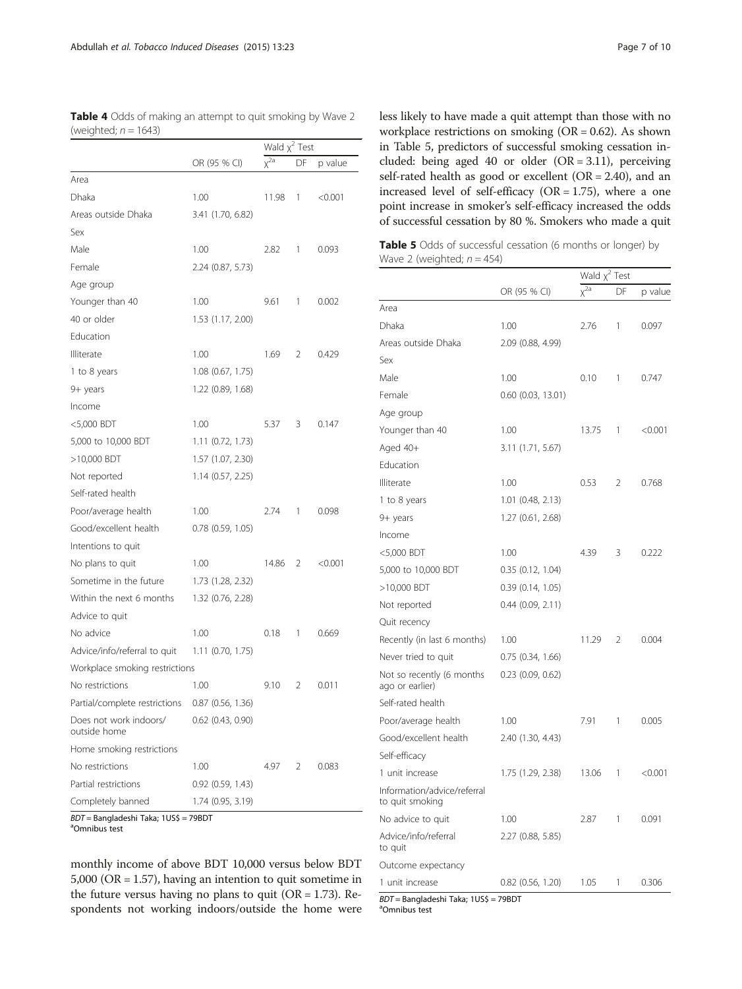<span id="page-6-0"></span>

|                                                                    |                       | Wald $\chi^2$ Test  |               |         |  |  |
|--------------------------------------------------------------------|-----------------------|---------------------|---------------|---------|--|--|
|                                                                    | OR (95 % CI)          | $\overline{x^{2a}}$ | DF            | p value |  |  |
| Area                                                               |                       |                     |               |         |  |  |
| Dhaka                                                              | 1.00                  | 11.98               | 1             | < 0.001 |  |  |
| Areas outside Dhaka                                                | 3.41 (1.70, 6.82)     |                     |               |         |  |  |
| Sex                                                                |                       |                     |               |         |  |  |
| Male                                                               | 1.00                  | 2.82                | 1             | 0.093   |  |  |
| Female                                                             | 2.24 (0.87, 5.73)     |                     |               |         |  |  |
| Age group                                                          |                       |                     |               |         |  |  |
| Younger than 40                                                    | 1.00                  | 9.61                | 1             | 0.002   |  |  |
| 40 or older                                                        | 1.53 (1.17, 2.00)     |                     |               |         |  |  |
| Education                                                          |                       |                     |               |         |  |  |
| Illiterate                                                         | 1.00                  | 1.69                | 2             | 0.429   |  |  |
| 1 to 8 years                                                       | 1.08 (0.67, 1.75)     |                     |               |         |  |  |
| 9+ years                                                           | 1.22 (0.89, 1.68)     |                     |               |         |  |  |
| Income                                                             |                       |                     |               |         |  |  |
| <5,000 BDT                                                         | 1.00                  | 5.37                | 3             | 0.147   |  |  |
| 5,000 to 10,000 BDT                                                | 1.11 (0.72, 1.73)     |                     |               |         |  |  |
| >10,000 BDT                                                        | 1.57 (1.07, 2.30)     |                     |               |         |  |  |
| Not reported                                                       | 1.14(0.57, 2.25)      |                     |               |         |  |  |
| Self-rated health                                                  |                       |                     |               |         |  |  |
| Poor/average health                                                | 1.00                  | 2.74                | 1             | 0.098   |  |  |
| Good/excellent health                                              | $0.78$ $(0.59, 1.05)$ |                     |               |         |  |  |
| Intentions to quit                                                 |                       |                     |               |         |  |  |
| No plans to quit                                                   | 1.00                  | 14.86               | 2             | < 0.001 |  |  |
| Sometime in the future                                             | 1.73 (1.28, 2.32)     |                     |               |         |  |  |
| Within the next 6 months                                           | 1.32 (0.76, 2.28)     |                     |               |         |  |  |
| Advice to quit                                                     |                       |                     |               |         |  |  |
| No advice                                                          | 1.00                  | 0.18                | 1             | 0.669   |  |  |
| Advice/info/referral to quit                                       | $1.11$ (0.70, 1.75)   |                     |               |         |  |  |
| Workplace smoking restrictions                                     |                       |                     |               |         |  |  |
| No restrictions                                                    | 1.00                  | 9.10                | 2             | 0.011   |  |  |
| Partial/complete restrictions                                      | 0.87 (0.56, 1.36)     |                     |               |         |  |  |
| Does not work indoors/<br>outside home                             | $0.62$ $(0.43, 0.90)$ |                     |               |         |  |  |
| Home smoking restrictions                                          |                       |                     |               |         |  |  |
| No restrictions                                                    | 1.00                  | 4.97                | $\mathcal{P}$ | 0.083   |  |  |
| Partial restrictions                                               | 0.92(0.59, 1.43)      |                     |               |         |  |  |
| Completely banned                                                  | 1.74 (0.95, 3.19)     |                     |               |         |  |  |
| BDT = Bangladeshi Taka; 1US\$ = 79BDT<br><sup>a</sup> Omnibus test |                       |                     |               |         |  |  |

monthly income of above BDT 10,000 versus below BDT 5,000 (OR = 1.57), having an intention to quit sometime in the future versus having no plans to quit ( $OR = 1.73$ ). Respondents not working indoors/outside the home were less likely to have made a quit attempt than those with no workplace restrictions on smoking (OR = 0.62). As shown in Table 5, predictors of successful smoking cessation included: being aged 40 or older (OR = 3.11), perceiving self-rated health as good or excellent (OR = 2.40), and an increased level of self-efficacy ( $OR = 1.75$ ), where a one point increase in smoker's self-efficacy increased the odds of successful cessation by 80 %. Smokers who made a quit

Table 5 Odds of successful cessation (6 months or longer) by Wave 2 (weighted;  $n = 454$ )

|                                                |                     | Wald $\chi^2$ Test |                |         |  |  |
|------------------------------------------------|---------------------|--------------------|----------------|---------|--|--|
|                                                | OR (95 % CI)        | $\chi^{2a}$        | DF             | p value |  |  |
| Area                                           |                     |                    |                |         |  |  |
| Dhaka                                          | 1.00                | 2.76               | 1              | 0.097   |  |  |
| Areas outside Dhaka                            | 2.09 (0.88, 4.99)   |                    |                |         |  |  |
| Sex                                            |                     |                    |                |         |  |  |
| Male                                           | 1.00                | 0.10               | 1              | 0.747   |  |  |
| Female                                         | 0.60(0.03, 13.01)   |                    |                |         |  |  |
| Age group                                      |                     |                    |                |         |  |  |
| Younger than 40                                | 1.00                | 13.75              | 1              | < 0.001 |  |  |
| Aged 40+                                       | 3.11 (1.71, 5.67)   |                    |                |         |  |  |
| Education                                      |                     |                    |                |         |  |  |
| Illiterate                                     | 1.00                | 0.53               | $\overline{2}$ | 0.768   |  |  |
| 1 to 8 years                                   | 1.01 (0.48, 2.13)   |                    |                |         |  |  |
| 9+ years                                       | 1.27 (0.61, 2.68)   |                    |                |         |  |  |
| Income                                         |                     |                    |                |         |  |  |
| <5,000 BDT                                     | 1.00                | 4.39               | 3              | 0.222   |  |  |
| 5,000 to 10,000 BDT                            | 0.35(0.12, 1.04)    |                    |                |         |  |  |
| >10,000 BDT                                    | 0.39(0.14, 1.05)    |                    |                |         |  |  |
| Not reported                                   | 0.44(0.09, 2.11)    |                    |                |         |  |  |
| Quit recency                                   |                     |                    |                |         |  |  |
| Recently (in last 6 months)                    | 1.00                | 11.29              | 2              | 0.004   |  |  |
| Never tried to quit                            | 0.75(0.34, 1.66)    |                    |                |         |  |  |
| Not so recently (6 months<br>ago or earlier)   | $0.23$ (0.09, 0.62) |                    |                |         |  |  |
| Self-rated health                              |                     |                    |                |         |  |  |
| Poor/average health                            | 1.00                | 7.91               | 1              | 0.005   |  |  |
| Good/excellent health                          | 2.40 (1.30, 4.43)   |                    |                |         |  |  |
| Self-efficacy                                  |                     |                    |                |         |  |  |
| 1 unit increase                                | 1.75 (1.29, 2.38)   | 13.06              | 1              | < 0.001 |  |  |
| Information/advice/referral<br>to quit smoking |                     |                    |                |         |  |  |
| No advice to quit                              | 1.00                | 2.87               | 1              | 0.091   |  |  |
| Advice/info/referral<br>to quit                | 2.27 (0.88, 5.85)   |                    |                |         |  |  |
| Outcome expectancy                             |                     |                    |                |         |  |  |
| 1 unit increase                                | $0.82$ (0.56, 1.20) | 1.05               | 1              | 0.306   |  |  |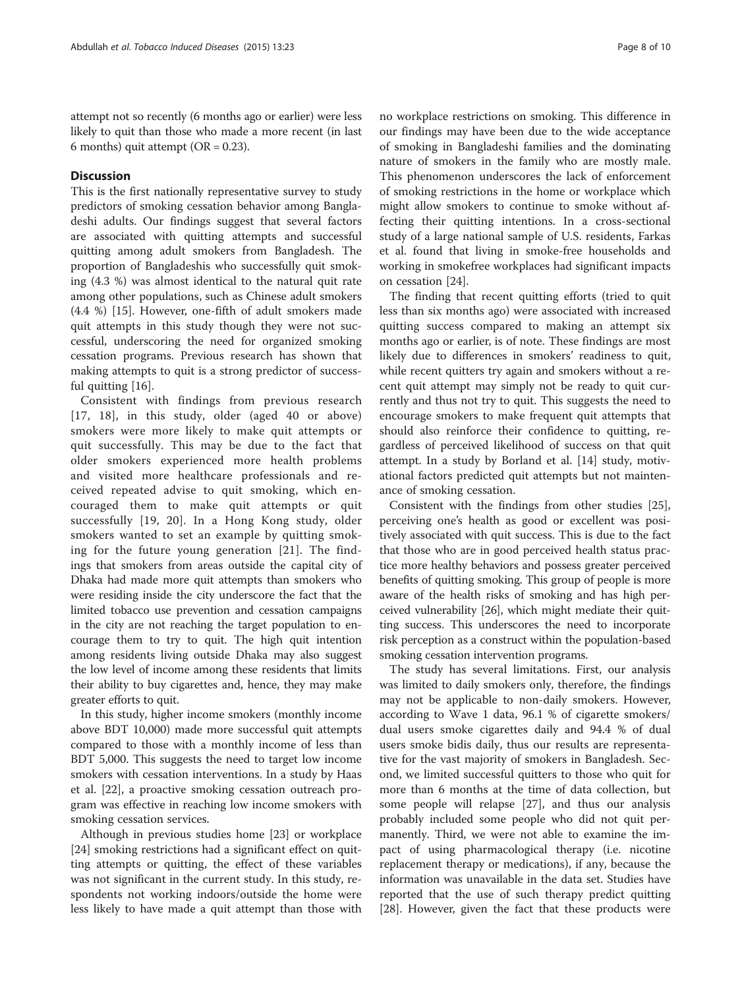attempt not so recently (6 months ago or earlier) were less likely to quit than those who made a more recent (in last 6 months) quit attempt  $(OR = 0.23)$ .

### **Discussion**

This is the first nationally representative survey to study predictors of smoking cessation behavior among Bangladeshi adults. Our findings suggest that several factors are associated with quitting attempts and successful quitting among adult smokers from Bangladesh. The proportion of Bangladeshis who successfully quit smoking (4.3 %) was almost identical to the natural quit rate among other populations, such as Chinese adult smokers (4.4 %) [\[15\]](#page-9-0). However, one-fifth of adult smokers made quit attempts in this study though they were not successful, underscoring the need for organized smoking cessation programs. Previous research has shown that making attempts to quit is a strong predictor of successful quitting [[16](#page-9-0)].

Consistent with findings from previous research [[17](#page-9-0), [18\]](#page-9-0), in this study, older (aged 40 or above) smokers were more likely to make quit attempts or quit successfully. This may be due to the fact that older smokers experienced more health problems and visited more healthcare professionals and received repeated advise to quit smoking, which encouraged them to make quit attempts or quit successfully [[19, 20\]](#page-9-0). In a Hong Kong study, older smokers wanted to set an example by quitting smoking for the future young generation [[21](#page-9-0)]. The findings that smokers from areas outside the capital city of Dhaka had made more quit attempts than smokers who were residing inside the city underscore the fact that the limited tobacco use prevention and cessation campaigns in the city are not reaching the target population to encourage them to try to quit. The high quit intention among residents living outside Dhaka may also suggest the low level of income among these residents that limits their ability to buy cigarettes and, hence, they may make greater efforts to quit.

In this study, higher income smokers (monthly income above BDT 10,000) made more successful quit attempts compared to those with a monthly income of less than BDT 5,000. This suggests the need to target low income smokers with cessation interventions. In a study by Haas et al. [[22](#page-9-0)], a proactive smoking cessation outreach program was effective in reaching low income smokers with smoking cessation services.

Although in previous studies home [[23](#page-9-0)] or workplace [[24\]](#page-9-0) smoking restrictions had a significant effect on quitting attempts or quitting, the effect of these variables was not significant in the current study. In this study, respondents not working indoors/outside the home were less likely to have made a quit attempt than those with

no workplace restrictions on smoking. This difference in our findings may have been due to the wide acceptance of smoking in Bangladeshi families and the dominating nature of smokers in the family who are mostly male. This phenomenon underscores the lack of enforcement of smoking restrictions in the home or workplace which might allow smokers to continue to smoke without affecting their quitting intentions. In a cross-sectional study of a large national sample of U.S. residents, Farkas et al. found that living in smoke-free households and working in smokefree workplaces had significant impacts on cessation [\[24](#page-9-0)].

The finding that recent quitting efforts (tried to quit less than six months ago) were associated with increased quitting success compared to making an attempt six months ago or earlier, is of note. These findings are most likely due to differences in smokers' readiness to quit, while recent quitters try again and smokers without a recent quit attempt may simply not be ready to quit currently and thus not try to quit. This suggests the need to encourage smokers to make frequent quit attempts that should also reinforce their confidence to quitting, regardless of perceived likelihood of success on that quit attempt. In a study by Borland et al. [[14](#page-9-0)] study, motivational factors predicted quit attempts but not maintenance of smoking cessation.

Consistent with the findings from other studies [\[25](#page-9-0)], perceiving one's health as good or excellent was positively associated with quit success. This is due to the fact that those who are in good perceived health status practice more healthy behaviors and possess greater perceived benefits of quitting smoking. This group of people is more aware of the health risks of smoking and has high perceived vulnerability [\[26\]](#page-9-0), which might mediate their quitting success. This underscores the need to incorporate risk perception as a construct within the population-based smoking cessation intervention programs.

The study has several limitations. First, our analysis was limited to daily smokers only, therefore, the findings may not be applicable to non-daily smokers. However, according to Wave 1 data, 96.1 % of cigarette smokers/ dual users smoke cigarettes daily and 94.4 % of dual users smoke bidis daily, thus our results are representative for the vast majority of smokers in Bangladesh. Second, we limited successful quitters to those who quit for more than 6 months at the time of data collection, but some people will relapse [\[27](#page-9-0)], and thus our analysis probably included some people who did not quit permanently. Third, we were not able to examine the impact of using pharmacological therapy (i.e. nicotine replacement therapy or medications), if any, because the information was unavailable in the data set. Studies have reported that the use of such therapy predict quitting [[28\]](#page-9-0). However, given the fact that these products were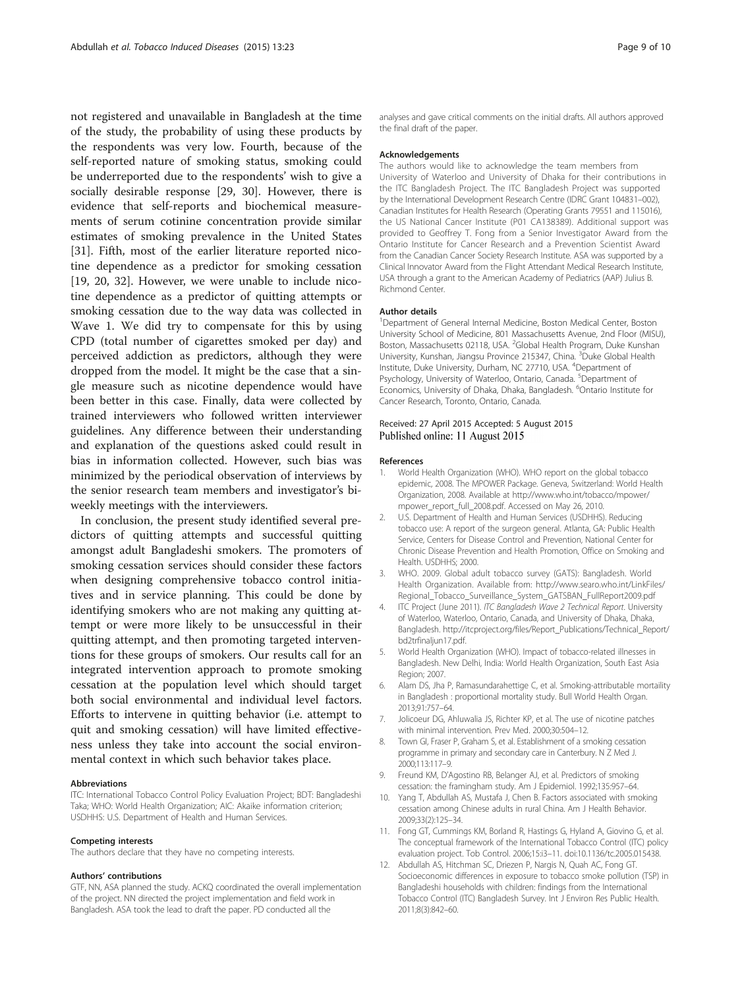<span id="page-8-0"></span>not registered and unavailable in Bangladesh at the time of the study, the probability of using these products by the respondents was very low. Fourth, because of the self-reported nature of smoking status, smoking could be underreported due to the respondents' wish to give a socially desirable response [\[29](#page-9-0), [30](#page-9-0)]. However, there is evidence that self-reports and biochemical measurements of serum cotinine concentration provide similar estimates of smoking prevalence in the United States [[31\]](#page-9-0). Fifth, most of the earlier literature reported nicotine dependence as a predictor for smoking cessation [[19, 20, 32\]](#page-9-0). However, we were unable to include nicotine dependence as a predictor of quitting attempts or smoking cessation due to the way data was collected in Wave 1. We did try to compensate for this by using CPD (total number of cigarettes smoked per day) and perceived addiction as predictors, although they were dropped from the model. It might be the case that a single measure such as nicotine dependence would have been better in this case. Finally, data were collected by trained interviewers who followed written interviewer guidelines. Any difference between their understanding and explanation of the questions asked could result in bias in information collected. However, such bias was minimized by the periodical observation of interviews by the senior research team members and investigator's biweekly meetings with the interviewers.

In conclusion, the present study identified several predictors of quitting attempts and successful quitting amongst adult Bangladeshi smokers. The promoters of smoking cessation services should consider these factors when designing comprehensive tobacco control initiatives and in service planning. This could be done by identifying smokers who are not making any quitting attempt or were more likely to be unsuccessful in their quitting attempt, and then promoting targeted interventions for these groups of smokers. Our results call for an integrated intervention approach to promote smoking cessation at the population level which should target both social environmental and individual level factors. Efforts to intervene in quitting behavior (i.e. attempt to quit and smoking cessation) will have limited effectiveness unless they take into account the social environmental context in which such behavior takes place.

#### Abbreviations

ITC: International Tobacco Control Policy Evaluation Project; BDT: Bangladeshi Taka; WHO: World Health Organization; AIC: Akaike information criterion; USDHHS: U.S. Department of Health and Human Services.

#### Competing interests

The authors declare that they have no competing interests.

#### Authors' contributions

GTF, NN, ASA planned the study. ACKQ coordinated the overall implementation of the project. NN directed the project implementation and field work in Bangladesh. ASA took the lead to draft the paper. PD conducted all the

analyses and gave critical comments on the initial drafts. All authors approved the final draft of the paper.

#### Acknowledgements

The authors would like to acknowledge the team members from University of Waterloo and University of Dhaka for their contributions in the ITC Bangladesh Project. The ITC Bangladesh Project was supported by the International Development Research Centre (IDRC Grant 104831–002), Canadian Institutes for Health Research (Operating Grants 79551 and 115016), the US National Cancer Institute (P01 CA138389). Additional support was provided to Geoffrey T. Fong from a Senior Investigator Award from the Ontario Institute for Cancer Research and a Prevention Scientist Award from the Canadian Cancer Society Research Institute. ASA was supported by a Clinical Innovator Award from the Flight Attendant Medical Research Institute, USA through a grant to the American Academy of Pediatrics (AAP) Julius B. Richmond Center.

#### Author details

<sup>1</sup>Department of General Internal Medicine, Boston Medical Center, Boston University School of Medicine, 801 Massachusetts Avenue, 2nd Floor (MISU), Boston, Massachusetts 02118, USA. <sup>2</sup>Global Health Program, Duke Kunshan University, Kunshan, Jiangsu Province 215347, China. <sup>3</sup>Duke Global Health Institute, Duke University, Durham, NC 27710, USA. <sup>4</sup> Department of Psychology, University of Waterloo, Ontario, Canada. <sup>5</sup>Department of Economics, University of Dhaka, Dhaka, Bangladesh. <sup>6</sup>Ontario Institute for Cancer Research, Toronto, Ontario, Canada.

#### Received: 27 April 2015 Accepted: 5 August 2015 Published online: 11 August 2015

#### References

- 1. World Health Organization (WHO). WHO report on the global tobacco epidemic, 2008. The MPOWER Package. Geneva, Switzerland: World Health Organization, 2008. Available at [http://www.who.int/tobacco/mpower/](http://www.who.int/tobacco/mpower/mpower_report_full_2008.pdf) [mpower\\_report\\_full\\_2008.pdf.](http://www.who.int/tobacco/mpower/mpower_report_full_2008.pdf) Accessed on May 26, 2010.
- 2. U.S. Department of Health and Human Services (USDHHS). Reducing tobacco use: A report of the surgeon general. Atlanta, GA: Public Health Service, Centers for Disease Control and Prevention, National Center for Chronic Disease Prevention and Health Promotion, Office on Smoking and Health. USDHHS; 2000.
- 3. WHO. 2009. Global adult tobacco survey (GATS): Bangladesh. World Health Organization. Available from: [http://www.searo.who.int/LinkFiles/](http://www.searo.who.int/LinkFiles/Regional_Tobacco_Surveillance_System_GATSBAN_FullReport2009.pdf) [Regional\\_Tobacco\\_Surveillance\\_System\\_GATSBAN\\_FullReport2009.pdf](http://www.searo.who.int/LinkFiles/Regional_Tobacco_Surveillance_System_GATSBAN_FullReport2009.pdf)
- 4. ITC Project (June 2011). ITC Bangladesh Wave 2 Technical Report. University of Waterloo, Waterloo, Ontario, Canada, and University of Dhaka, Dhaka, Bangladesh. [http://itcproject.org/files/Report\\_Publications/Technical\\_Report/](http://itcproject.org/files/Report_Publications/Technical_Report/bd2trfinaljun17.pdf) [bd2trfinaljun17.pdf](http://itcproject.org/files/Report_Publications/Technical_Report/bd2trfinaljun17.pdf).
- 5. World Health Organization (WHO). Impact of tobacco-related illnesses in Bangladesh. New Delhi, India: World Health Organization, South East Asia Region; 2007.
- 6. Alam DS, Jha P, Ramasundarahettige C, et al. Smoking-attributable mortaility in Bangladesh : proportional mortality study. Bull World Health Organ. 2013;91:757–64.
- 7. Jolicoeur DG, Ahluwalia JS, Richter KP, et al. The use of nicotine patches with minimal intervention. Prev Med. 2000;30:504–12.
- 8. Town GI, Fraser P, Graham S, et al. Establishment of a smoking cessation programme in primary and secondary care in Canterbury. N Z Med J. 2000;113:117–9.
- 9. Freund KM, D'Agostino RB, Belanger AJ, et al. Predictors of smoking cessation: the framingham study. Am J Epidemiol. 1992;135:957–64.
- 10. Yang T, Abdullah AS, Mustafa J, Chen B. Factors associated with smoking cessation among Chinese adults in rural China. Am J Health Behavior. 2009;33(2):125–34.
- 11. Fong GT, Cummings KM, Borland R, Hastings G, Hyland A, Giovino G, et al. The conceptual framework of the International Tobacco Control (ITC) policy evaluation project. Tob Control. 2006;15:i3–11. doi:[10.1136/tc.2005.015438.](http://dx.doi.org/10.1136/tc.2005.015438)
- 12. Abdullah AS, Hitchman SC, Driezen P, Nargis N, Quah AC, Fong GT. Socioeconomic differences in exposure to tobacco smoke pollution (TSP) in Bangladeshi households with children: findings from the International Tobacco Control (ITC) Bangladesh Survey. Int J Environ Res Public Health. 2011;8(3):842–60.